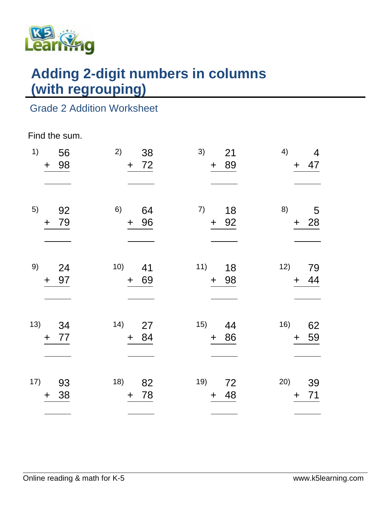

# **Adding 2-digit numbers in columns (with regrouping)**

### Grade 2 Addition Worksheet

#### Find the sum.

| 1)  | 56<br>98<br>$\begin{array}{c} + \end{array}$ | 2)<br>38<br>72<br>$+$ | 3)<br>21<br>+ 89                     | 4)<br>$\overline{4}$<br>47<br>$+$ |
|-----|----------------------------------------------|-----------------------|--------------------------------------|-----------------------------------|
| 5)  | 92<br>79<br>$\ddot{}$                        | 6)<br>64<br>96<br>$+$ | 7)<br>18<br>+ 92                     | 8)<br>5<br>$+ 28$                 |
| 9)  | 24<br>97<br>$\ddag$                          | 10) 41<br>69<br>$+$   | 11)<br>18<br>+ 98                    | 12)<br>79<br>44<br>$+$            |
|     | 13) 34<br>77<br>$\ddagger$                   | 14) 27<br>84<br>$+$   | 15) 44<br>+ 86                       | 16)<br>62<br>59<br>$+$            |
| 17) | - 93<br>38<br>$\ddot{}$                      | 18) 82<br>78<br>$+$   | 19) 72<br>48<br>$\ddot{\phantom{1}}$ | 20)<br>39<br>71<br>$+$            |